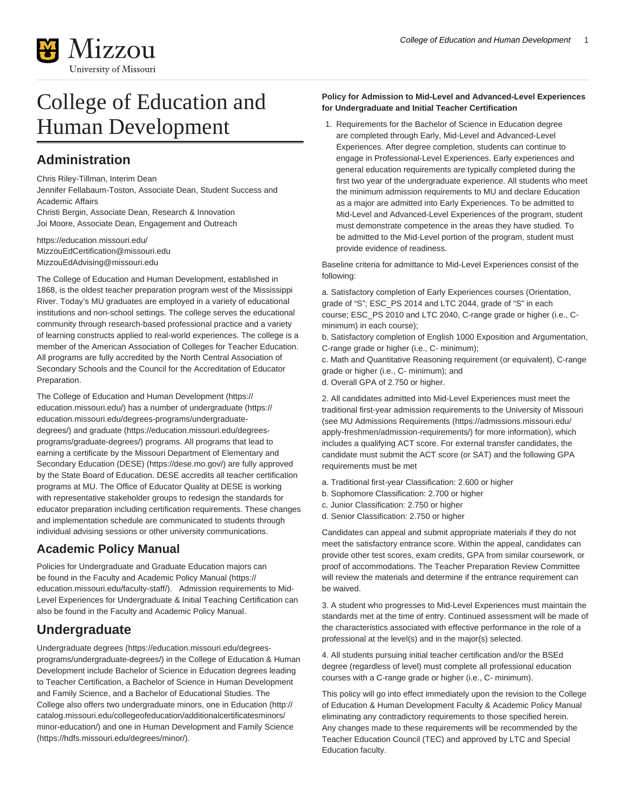

# College of Education and Human Development

## **Administration**

Chris Riley-Tillman, Interim Dean

Jennifer Fellabaum-Toston, Associate Dean, Student Success and Academic Affairs

Christi Bergin, Associate Dean, Research & Innovation Joi Moore, Associate Dean, Engagement and Outreach

<https://education.missouri.edu/> [MizzouEdCertification@missouri.edu](mailto:MizzouEdCertification@missouri.edu) [MizzouEdAdvising@missouri.edu](mailto:MizzouEdAdvising@missouri.edu)

The College of Education and Human Development, established in 1868, is the oldest teacher preparation program west of the Mississippi River. Today's MU graduates are employed in a variety of educational institutions and non-school settings. The college serves the educational community through research-based professional practice and a variety of learning constructs applied to real-world experiences. The college is a member of the American Association of Colleges for Teacher Education. All programs are fully accredited by the North Central Association of Secondary Schools and the Council for the Accreditation of Educator Preparation.

The [College of Education and Human Development](https://education.missouri.edu/) ([https://](https://education.missouri.edu/) [education.missouri.edu/](https://education.missouri.edu/)) has a number of [undergraduate](https://education.missouri.edu/degrees-programs/undergraduate-degrees/) [\(https://](https://education.missouri.edu/degrees-programs/undergraduate-degrees/) [education.missouri.edu/degrees-programs/undergraduate](https://education.missouri.edu/degrees-programs/undergraduate-degrees/)[degrees/](https://education.missouri.edu/degrees-programs/undergraduate-degrees/)) and [graduate](https://education.missouri.edu/degrees-programs/graduate-degrees/) [\(https://education.missouri.edu/degrees](https://education.missouri.edu/degrees-programs/graduate-degrees/)[programs/graduate-degrees/](https://education.missouri.edu/degrees-programs/graduate-degrees/)) programs. All programs that lead to earning a certificate by the Missouri Department of Elementary and Secondary Education [\(DESE\)](https://dese.mo.gov/) [\(https://dese.mo.gov/](https://dese.mo.gov/)) are fully approved by the State Board of Education. DESE accredits all teacher certification programs at MU. The Office of Educator Quality at DESE is working with representative stakeholder groups to redesign the standards for educator preparation including certification requirements. These changes and implementation schedule are communicated to students through individual advising sessions or other university communications.

#### **Academic Policy Manual**

Policies for Undergraduate and Graduate Education majors can be found in the [Faculty and Academic Policy Manual](https://education.missouri.edu/faculty-staff/) ([https://](https://education.missouri.edu/faculty-staff/) [education.missouri.edu/faculty-staff/\)](https://education.missouri.edu/faculty-staff/). Admission requirements to Mid-Level Experiences for Undergraduate & Initial Teaching Certification can also be found in the Faculty and Academic Policy Manual.

### **Undergraduate**

[Undergraduate degrees](https://education.missouri.edu/degrees-programs/undergraduate-degrees/) [\(https://education.missouri.edu/degrees](https://education.missouri.edu/degrees-programs/undergraduate-degrees/)[programs/undergraduate-degrees/\)](https://education.missouri.edu/degrees-programs/undergraduate-degrees/) in the College of Education & Human Development include Bachelor of Science in Education degrees leading to Teacher Certification, a Bachelor of Science in Human Development and Family Science, and a Bachelor of Educational Studies. The College also offers two undergraduate minors, one in [Education](http://catalog.missouri.edu/collegeofeducation/additionalcertificatesminors/minor-education/) [\(http://](http://catalog.missouri.edu/collegeofeducation/additionalcertificatesminors/minor-education/) [catalog.missouri.edu/collegeofeducation/additionalcertificatesminors/](http://catalog.missouri.edu/collegeofeducation/additionalcertificatesminors/minor-education/) [minor-education/\)](http://catalog.missouri.edu/collegeofeducation/additionalcertificatesminors/minor-education/) and one in [Human Development and Family Science](https://hdfs.missouri.edu/degrees/minor/) ([https://hdfs.missouri.edu/degrees/minor/\)](https://hdfs.missouri.edu/degrees/minor/).

#### **Policy for Admission to Mid-Level and Advanced-Level Experiences for Undergraduate and Initial Teacher Certification**

1. Requirements for the Bachelor of Science in Education degree are completed through Early, Mid-Level and Advanced-Level Experiences. After degree completion, students can continue to engage in Professional-Level Experiences. Early experiences and general education requirements are typically completed during the first two year of the undergraduate experience. All students who meet the minimum admission requirements to MU and declare Education as a major are admitted into Early Experiences. To be admitted to Mid-Level and Advanced-Level Experiences of the program, student must demonstrate competence in the areas they have studied. To be admitted to the Mid-Level portion of the program, student must provide evidence of readiness.

Baseline criteria for admittance to Mid-Level Experiences consist of the following:

a. Satisfactory completion of Early Experiences courses (Orientation, grade of "S"; ESC\_PS 2014 and LTC 2044, grade of "S" in each course; ESC\_PS 2010 and LTC 2040, C-range grade or higher (i.e., Cminimum) in each course);

b. Satisfactory completion of English 1000 Exposition and Argumentation, C-range grade or higher (i.e., C- minimum);

c. Math and Quantitative Reasoning requirement (or equivalent), C-range grade or higher (i.e., C- minimum); and

d. Overall GPA of 2.750 or higher.

2. All candidates admitted into Mid-Level Experiences must meet the traditional first-year admission requirements to the University of Missouri (see [MU Admissions Requirements](https://admissions.missouri.edu/apply-freshmen/admission-requirements/) [\(https://admissions.missouri.edu/](https://admissions.missouri.edu/apply-freshmen/admission-requirements/) [apply-freshmen/admission-requirements/\)](https://admissions.missouri.edu/apply-freshmen/admission-requirements/) for more information), which includes a qualifying ACT score. For external transfer candidates, the candidate must submit the ACT score (or SAT) and the following GPA requirements must be met

- a. Traditional first-year Classification: 2.600 or higher
- b. Sophomore Classification: 2.700 or higher
- c. Junior Classification: 2.750 or higher
- d. Senior Classification: 2.750 or higher

Candidates can appeal and submit appropriate materials if they do not meet the satisfactory entrance score. Within the appeal, candidates can provide other test scores, exam credits, GPA from similar coursework, or proof of accommodations. The Teacher Preparation Review Committee will review the materials and determine if the entrance requirement can be waived.

3. A student who progresses to Mid-Level Experiences must maintain the standards met at the time of entry. Continued assessment will be made of the characteristics associated with effective performance in the role of a professional at the level(s) and in the major(s) selected.

4. All students pursuing initial teacher certification and/or the BSEd degree (regardless of level) must complete all professional education courses with a C-range grade or higher (i.e., C- minimum).

This policy will go into effect immediately upon the revision to the College of Education & Human Development Faculty & Academic Policy Manual eliminating any contradictory requirements to those specified herein. Any changes made to these requirements will be recommended by the Teacher Education Council (TEC) and approved by LTC and Special Education faculty.